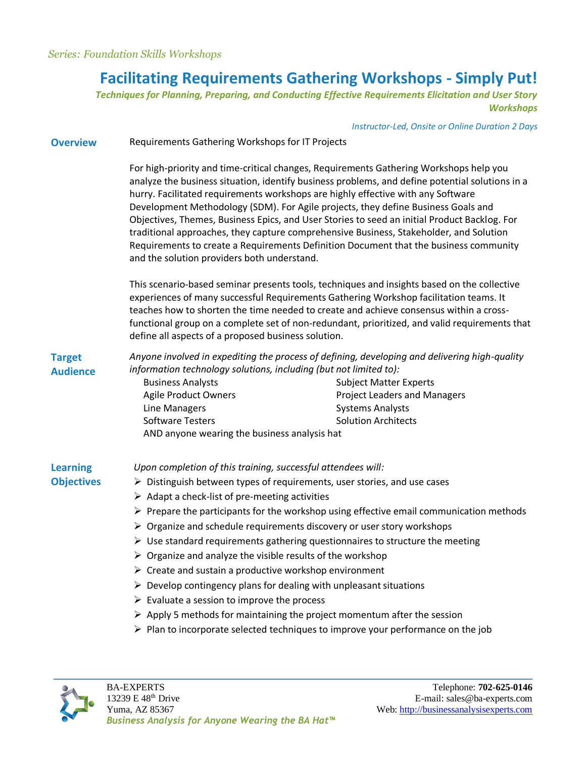# **Facilitating Requirements Gathering Workshops - Simply Put!**

*Techniques for Planning, Preparing, and Conducting Effective Requirements Elicitation and User Story Workshops*

*Instructor-Led, Onsite or Online Duration 2 Days*

| <b>Overview</b> | Requirements Gathering Workshops for IT Projects |
|-----------------|--------------------------------------------------|
|-----------------|--------------------------------------------------|

For high-priority and time-critical changes, Requirements Gathering Workshops help you analyze the business situation, identify business problems, and define potential solutions in a hurry. Facilitated requirements workshops are highly effective with any Software Development Methodology (SDM). For Agile projects, they define Business Goals and Objectives, Themes, Business Epics, and User Stories to seed an initial Product Backlog. For traditional approaches, they capture comprehensive Business, Stakeholder, and Solution Requirements to create a Requirements Definition Document that the business community and the solution providers both understand.

This scenario-based seminar presents tools, techniques and insights based on the collective experiences of many successful Requirements Gathering Workshop facilitation teams. It teaches how to shorten the time needed to create and achieve consensus within a crossfunctional group on a complete set of non-redundant, prioritized, and valid requirements that define all aspects of a proposed business solution.

| <b>Target</b><br><b>Audience</b> | Anyone involved in expediting the process of defining, developing and delivering high-quality<br>information technology solutions, including (but not limited to): |                                                                      |  |
|----------------------------------|--------------------------------------------------------------------------------------------------------------------------------------------------------------------|----------------------------------------------------------------------|--|
|                                  | <b>Business Analysts</b><br><b>Agile Product Owners</b>                                                                                                            | <b>Subject Matter Experts</b><br><b>Project Leaders and Managers</b> |  |
|                                  | Line Managers                                                                                                                                                      | <b>Systems Analysts</b>                                              |  |
|                                  | Software Testers                                                                                                                                                   | <b>Solution Architects</b>                                           |  |
|                                  | AND anyone wearing the business analysis hat                                                                                                                       |                                                                      |  |
| <b>Learning</b>                  | Upon completion of this training, successful attendees will:                                                                                                       |                                                                      |  |
| <b>Objectives</b>                | $\triangleright$ Distinguish between types of requirements, user stories, and use cases                                                                            |                                                                      |  |
|                                  | $\triangleright$ Adapt a check-list of pre-meeting activities                                                                                                      |                                                                      |  |
|                                  | $\triangleright$ Prepare the participants for the workshop using effective email communication methods                                                             |                                                                      |  |
|                                  | $\triangleright$ Organize and schedule requirements discovery or user story workshops                                                                              |                                                                      |  |

- $\triangleright$  Use standard requirements gathering questionnaires to structure the meeting
- $\triangleright$  Organize and analyze the visible results of the workshop
- $\triangleright$  Create and sustain a productive workshop environment
- $\triangleright$  Develop contingency plans for dealing with unpleasant situations
- $\triangleright$  Evaluate a session to improve the process
- $\triangleright$  Apply 5 methods for maintaining the project momentum after the session
- $\triangleright$  Plan to incorporate selected techniques to improve your performance on the job

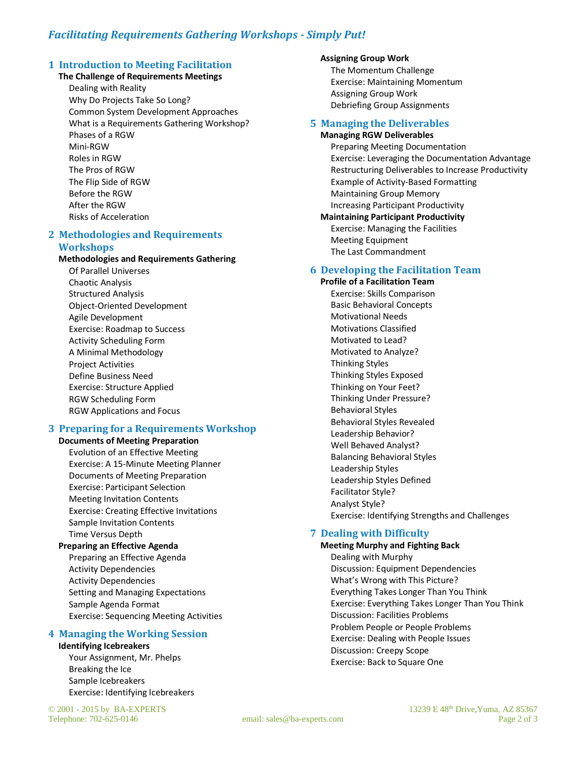# *Facilitating Requirements Gathering Workshops - Simply Put!*

### **1 Introduction to Meeting Facilitation**

#### **The Challenge of Requirements Meetings**

Dealing with Reality Why Do Projects Take So Long? Common System Development Approaches What is a Requirements Gathering Workshop? Phases of a RGW Mini-RGW Roles in RGW The Pros of RGW The Flip Side of RGW Before the RGW After the RGW Risks of Acceleration

#### **2 Methodologies and Requirements Workshops**

#### **Methodologies and Requirements Gathering**

Of Parallel Universes Chaotic Analysis Structured Analysis Object-Oriented Development Agile Development Exercise: Roadmap to Success Activity Scheduling Form A Minimal Methodology Project Activities Define Business Need Exercise: Structure Applied RGW Scheduling Form RGW Applications and Focus

## **3 Preparing for a Requirements Workshop**

**Documents of Meeting Preparation** Evolution of an Effective Meeting Exercise: A 15-Minute Meeting Planner Documents of Meeting Preparation Exercise: Participant Selection Meeting Invitation Contents Exercise: Creating Effective Invitations Sample Invitation Contents Time Versus Depth **Preparing an Effective Agenda**

Preparing an Effective Agenda Activity Dependencies Activity Dependencies Setting and Managing Expectations Sample Agenda Format Exercise: Sequencing Meeting Activities

### **4 Managing the Working Session**

#### **Identifying Icebreakers**

Your Assignment, Mr. Phelps Breaking the Ice Sample Icebreakers Exercise: Identifying Icebreakers

#### **Assigning Group Work**

The Momentum Challenge Exercise: Maintaining Momentum Assigning Group Work Debriefing Group Assignments

#### **5 Managing the Deliverables**

#### **Managing RGW Deliverables**

Preparing Meeting Documentation Exercise: Leveraging the Documentation Advantage Restructuring Deliverables to Increase Productivity Example of Activity-Based Formatting Maintaining Group Memory Increasing Participant Productivity

**Maintaining Participant Productivity** Exercise: Managing the Facilities Meeting Equipment The Last Commandment

#### **6 Developing the Facilitation Team**

**Profile of a Facilitation Team** Exercise: Skills Comparison Basic Behavioral Concepts Motivational Needs Motivations Classified Motivated to Lead? Motivated to Analyze? Thinking Styles Thinking Styles Exposed Thinking on Your Feet? Thinking Under Pressure? Behavioral Styles Behavioral Styles Revealed Leadership Behavior? Well Behaved Analyst? Balancing Behavioral Styles Leadership Styles Leadership Styles Defined Facilitator Style? Analyst Style? Exercise: Identifying Strengths and Challenges

#### **7 Dealing with Difficulty**

**Meeting Murphy and Fighting Back** Dealing with Murphy Discussion: Equipment Dependencies What's Wrong with This Picture? Everything Takes Longer Than You Think Exercise: Everything Takes Longer Than You Think Discussion: Facilities Problems Problem People or People Problems Exercise: Dealing with People Issues Discussion: Creepy Scope Exercise: Back to Square One